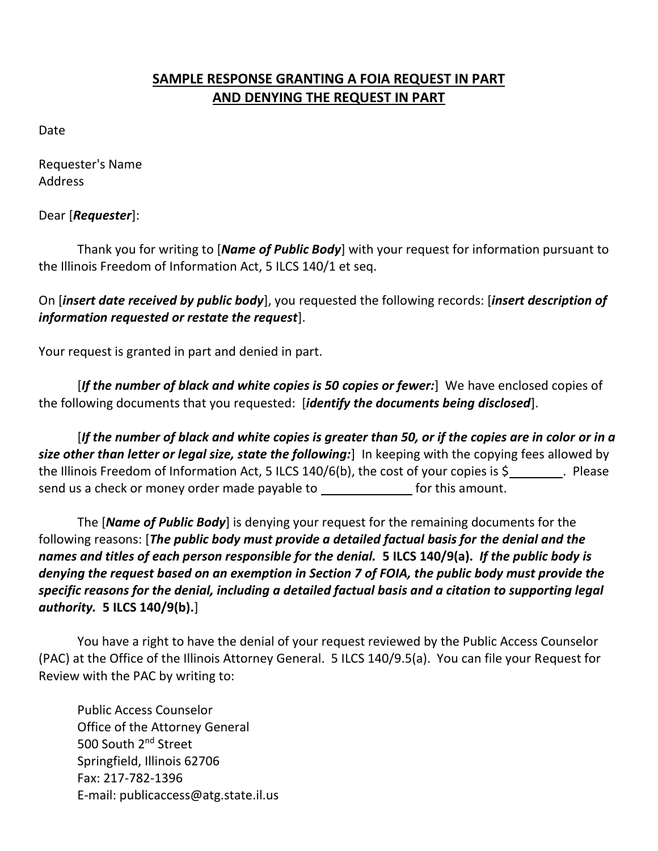## **SAMPLE RESPONSE GRANTING A FOIA REQUEST IN PART AND DENYING THE REQUEST IN PART**

Date

Requester's Name Address

Dear [*Requester*]:

Thank you for writing to [*Name of Public Body*] with your request for information pursuant to the Illinois Freedom of Information Act, 5 ILCS 140/1 et seq.

On [*insert date received by public body*], you requested the following records: [*insert description of information requested or restate the request*].

Your request is granted in part and denied in part.

[*If the number of black and white copies is 50 copies or fewer:*] We have enclosed copies of the following documents that you requested: [*identify the documents being disclosed*].

[*If the number of black and white copies is greater than 50, or if the copies are in color or in a size other than letter or legal size, state the following:*] In keeping with the copying fees allowed by the Illinois Freedom of Information Act, 5 ILCS 140/6(b), the cost of your copies is \$ . Please send us a check or money order made payable to for this amount.

The [*Name of Public Body*] is denying your request for the remaining documents for the following reasons: [*The public body must provide a detailed factual basis for the denial and the names and titles of each person responsible for the denial.* **5 ILCS 140/9(a).** *If the public body is denying the request based on an exemption in Section 7 of FOIA, the public body must provide the specific reasons for the denial, including a detailed factual basis and a citation to supporting legal authority.* **5 ILCS 140/9(b).**]

You have a right to have the denial of your request reviewed by the Public Access Counselor (PAC) at the Office of the Illinois Attorney General. 5 ILCS 140/9.5(a). You can file your Request for Review with the PAC by writing to:

Public Access Counselor Office of the Attorney General 500 South 2<sup>nd</sup> Street Springfield, Illinois 62706 Fax: 217-782-1396 E-mail: publicaccess@atg.state.il.us